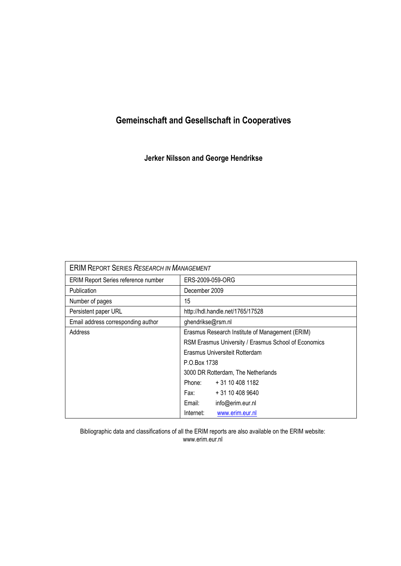# **Gemeinschaft and Gesellschaft in Cooperatives**

**Jerker Nilsson and George Hendrikse**

| <b>ERIM REPORT SERIES RESEARCH IN MANAGEMENT</b> |                                                      |                  |  |
|--------------------------------------------------|------------------------------------------------------|------------------|--|
| ERIM Report Series reference number              | ERS-2009-059-ORG                                     |                  |  |
| <b>Publication</b>                               | December 2009                                        |                  |  |
| Number of pages                                  | 15                                                   |                  |  |
| Persistent paper URL                             | http://hdl.handle.net/1765/17528                     |                  |  |
| Email address corresponding author               | ghendrikse@rsm.nl                                    |                  |  |
| Address                                          | Erasmus Research Institute of Management (ERIM)      |                  |  |
|                                                  | RSM Erasmus University / Erasmus School of Economics |                  |  |
|                                                  | Erasmus Universiteit Rotterdam                       |                  |  |
|                                                  | P.O.Box 1738                                         |                  |  |
|                                                  | 3000 DR Rotterdam, The Netherlands                   |                  |  |
|                                                  | Phone:                                               | + 31 10 408 1182 |  |
|                                                  | Fax: Fax:                                            | + 31 10 408 9640 |  |
|                                                  | Email:                                               | info@erim.eur.nl |  |
|                                                  | Internet:                                            | www.erim.eur.nl  |  |

Bibliographic data and classifications of all the ERIM reports are also available on the ERIM website: www.erim.eur.nl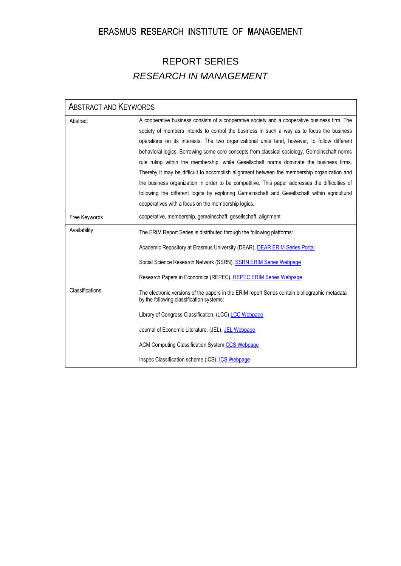# **E**RASMUS **R**ESEARCH **I**NSTITUTE OF **M**ANAGEMENT

# REPORT SERIES *RESEARCH IN MANAGEMENT*

| <b>ABSTRACT AND KEYWORDS</b> |                                                                                                                                                                                                                                                                                                                                                                                                                                                                                                                                                                                                                                                                                                                                                                                                                                                 |  |
|------------------------------|-------------------------------------------------------------------------------------------------------------------------------------------------------------------------------------------------------------------------------------------------------------------------------------------------------------------------------------------------------------------------------------------------------------------------------------------------------------------------------------------------------------------------------------------------------------------------------------------------------------------------------------------------------------------------------------------------------------------------------------------------------------------------------------------------------------------------------------------------|--|
| Abstract                     | A cooperative business consists of a cooperative society and a cooperative business firm. The<br>society of members intends to control the business in such a way as to focus the business<br>operations on its interests. The two organizational units tend, however, to follow different<br>behavioral logics. Borrowing some core concepts from classical sociology, Gemeinschaft norms<br>rule ruling within the membership, while Gesellschaft norms dominate the business firms.<br>Thereby it may be difficult to accomplish alignment between the membership organization and<br>the business organization in order to be competitive. This paper addresses the difficulties of<br>following the different logics by exploring Gemeinschaft and Gesellschaft within agricultural<br>cooperatives with a focus on the membership logics. |  |
| Free Keywords                | cooperative, membership, gemeinschaft, gesellschaft, alignment                                                                                                                                                                                                                                                                                                                                                                                                                                                                                                                                                                                                                                                                                                                                                                                  |  |
| Availability                 | The ERIM Report Series is distributed through the following platforms:<br>Academic Repository at Erasmus University (DEAR), DEAR ERIM Series Portal<br>Social Science Research Network (SSRN), SSRN ERIM Series Webpage<br>Research Papers in Economics (REPEC), REPEC ERIM Series Webpage                                                                                                                                                                                                                                                                                                                                                                                                                                                                                                                                                      |  |
| Classifications              | The electronic versions of the papers in the ERIM report Series contain bibliographic metadata<br>by the following classification systems:<br>Library of Congress Classification, (LCC) LCC Webpage<br>Journal of Economic Literature, (JEL), JEL Webpage<br><b>ACM Computing Classification System CCS Webpage</b><br>Inspec Classification scheme (ICS), ICS Webpage                                                                                                                                                                                                                                                                                                                                                                                                                                                                          |  |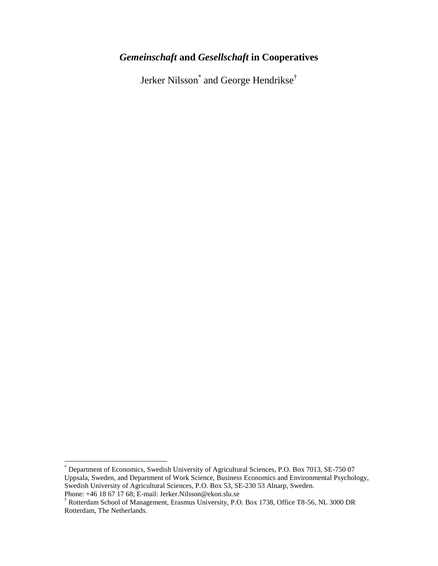# *Gemeinschaft* **and** *Gesellschaft* **in Cooperatives**

Jerker Nilsson $^{*}$  and George Hendrikse $^{\dagger}$ 

 $\overline{a}$ 

<sup>\*</sup> Department of Economics, Swedish University of Agricultural Sciences, P.O. Box 7013, SE-750 07 Uppsala, Sweden, and Department of Work Science, Business Economics and Environmental Psychology, Swedish University of Agricultural Sciences, P.O. Box 53, SE-230 53 Alnarp, Sweden. Phone: +46 18 67 17 68; E-mail: Jerker.Nilsson@ekon.slu.se

<sup>†</sup> Rotterdam School of Management, Erasmus University, P.O. Box 1738, Office T8-56, NL 3000 DR Rotterdam, The Netherlands.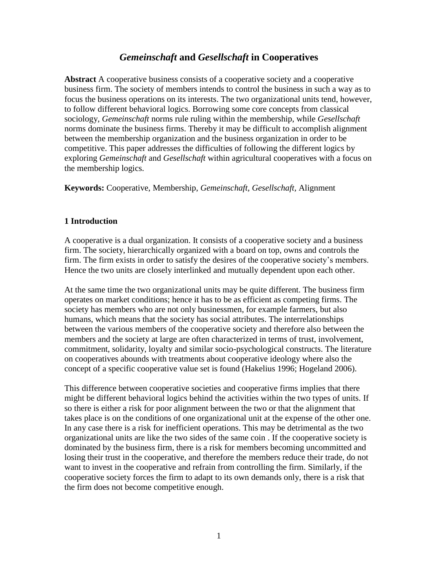## *Gemeinschaft* **and** *Gesellschaft* **in Cooperatives**

**Abstract** A cooperative business consists of a cooperative society and a cooperative business firm. The society of members intends to control the business in such a way as to focus the business operations on its interests. The two organizational units tend, however, to follow different behavioral logics. Borrowing some core concepts from classical sociology, *Gemeinschaft* norms rule ruling within the membership, while *Gesellschaft*  norms dominate the business firms. Thereby it may be difficult to accomplish alignment between the membership organization and the business organization in order to be competitive. This paper addresses the difficulties of following the different logics by exploring *Gemeinschaft* and *Gesellschaft* within agricultural cooperatives with a focus on the membership logics.

**Keywords:** Cooperative, Membership, *Gemeinschaft, Gesellschaft,* Alignment

#### **1 Introduction**

A cooperative is a dual organization. It consists of a cooperative society and a business firm. The society, hierarchically organized with a board on top, owns and controls the firm. The firm exists in order to satisfy the desires of the cooperative society's members. Hence the two units are closely interlinked and mutually dependent upon each other.

At the same time the two organizational units may be quite different. The business firm operates on market conditions; hence it has to be as efficient as competing firms. The society has members who are not only businessmen, for example farmers, but also humans, which means that the society has social attributes. The interrelationships between the various members of the cooperative society and therefore also between the members and the society at large are often characterized in terms of trust, involvement, commitment, solidarity, loyalty and similar socio-psychological constructs. The literature on cooperatives abounds with treatments about cooperative ideology where also the concept of a specific cooperative value set is found (Hakelius 1996; Hogeland 2006).

This difference between cooperative societies and cooperative firms implies that there might be different behavioral logics behind the activities within the two types of units. If so there is either a risk for poor alignment between the two or that the alignment that takes place is on the conditions of one organizational unit at the expense of the other one. In any case there is a risk for inefficient operations. This may be detrimental as the two organizational units are like the two sides of the same coin . If the cooperative society is dominated by the business firm, there is a risk for members becoming uncommitted and losing their trust in the cooperative, and therefore the members reduce their trade, do not want to invest in the cooperative and refrain from controlling the firm. Similarly, if the cooperative society forces the firm to adapt to its own demands only, there is a risk that the firm does not become competitive enough.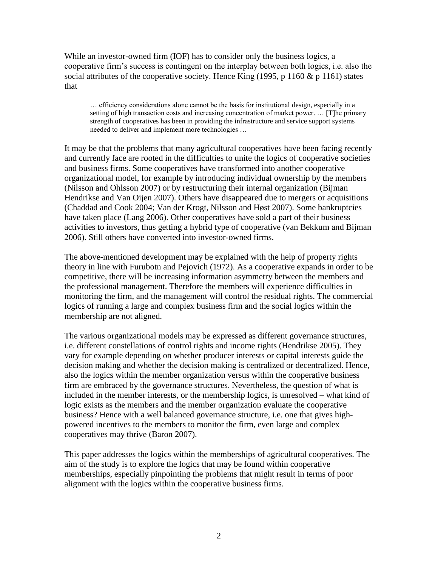While an investor-owned firm (IOF) has to consider only the business logics, a cooperative firm's success is contingent on the interplay between both logics, i.e. also the social attributes of the cooperative society. Hence King (1995, p 1160  $\&$  p 1161) states that

… efficiency considerations alone cannot be the basis for institutional design, especially in a setting of high transaction costs and increasing concentration of market power. … [T]he primary strength of cooperatives has been in providing the infrastructure and service support systems needed to deliver and implement more technologies …

It may be that the problems that many agricultural cooperatives have been facing recently and currently face are rooted in the difficulties to unite the logics of cooperative societies and business firms. Some cooperatives have transformed into another cooperative organizational model, for example by introducing individual ownership by the members (Nilsson and Ohlsson 2007) or by restructuring their internal organization (Bijman Hendrikse and Van Oijen 2007). Others have disappeared due to mergers or acquisitions (Chaddad and Cook 2004; Van der Krogt, Nilsson and Høst 2007). Some bankruptcies have taken place (Lang 2006). Other cooperatives have sold a part of their business activities to investors, thus getting a hybrid type of cooperative (van Bekkum and Bijman 2006). Still others have converted into investor-owned firms.

The above-mentioned development may be explained with the help of property rights theory in line with Furubotn and Pejovich (1972). As a cooperative expands in order to be competitive, there will be increasing information asymmetry between the members and the professional management. Therefore the members will experience difficulties in monitoring the firm, and the management will control the residual rights. The commercial logics of running a large and complex business firm and the social logics within the membership are not aligned.

The various organizational models may be expressed as different governance structures, i.e. different constellations of control rights and income rights (Hendrikse 2005). They vary for example depending on whether producer interests or capital interests guide the decision making and whether the decision making is centralized or decentralized. Hence, also the logics within the member organization versus within the cooperative business firm are embraced by the governance structures. Nevertheless, the question of what is included in the member interests, or the membership logics, is unresolved – what kind of logic exists as the members and the member organization evaluate the cooperative business? Hence with a well balanced governance structure, i.e. one that gives highpowered incentives to the members to monitor the firm, even large and complex cooperatives may thrive (Baron 2007).

This paper addresses the logics within the memberships of agricultural cooperatives. The aim of the study is to explore the logics that may be found within cooperative memberships, especially pinpointing the problems that might result in terms of poor alignment with the logics within the cooperative business firms.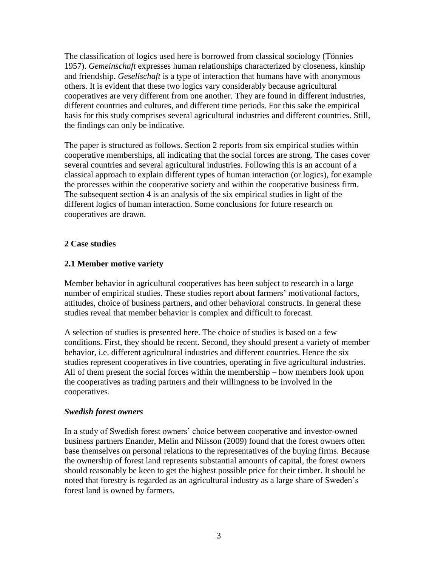The classification of logics used here is borrowed from classical sociology (Tönnies 1957). *Gemeinschaft* expresses human relationships characterized by closeness, kinship and friendship. *Gesellschaft* is a type of interaction that humans have with anonymous others. It is evident that these two logics vary considerably because agricultural cooperatives are very different from one another. They are found in different industries, different countries and cultures, and different time periods. For this sake the empirical basis for this study comprises several agricultural industries and different countries. Still, the findings can only be indicative.

The paper is structured as follows. Section 2 reports from six empirical studies within cooperative memberships, all indicating that the social forces are strong. The cases cover several countries and several agricultural industries. Following this is an account of a classical approach to explain different types of human interaction (or logics), for example the processes within the cooperative society and within the cooperative business firm. The subsequent section 4 is an analysis of the six empirical studies in light of the different logics of human interaction. Some conclusions for future research on cooperatives are drawn.

#### **2 Case studies**

#### **2.1 Member motive variety**

Member behavior in agricultural cooperatives has been subject to research in a large number of empirical studies. These studies report about farmers' motivational factors, attitudes, choice of business partners, and other behavioral constructs. In general these studies reveal that member behavior is complex and difficult to forecast.

A selection of studies is presented here. The choice of studies is based on a few conditions. First, they should be recent. Second, they should present a variety of member behavior, i.e. different agricultural industries and different countries. Hence the six studies represent cooperatives in five countries, operating in five agricultural industries. All of them present the social forces within the membership – how members look upon the cooperatives as trading partners and their willingness to be involved in the cooperatives.

#### *Swedish forest owners*

In a study of Swedish forest owners' choice between cooperative and investor-owned business partners Enander, Melin and Nilsson (2009) found that the forest owners often base themselves on personal relations to the representatives of the buying firms. Because the ownership of forest land represents substantial amounts of capital, the forest owners should reasonably be keen to get the highest possible price for their timber. It should be noted that forestry is regarded as an agricultural industry as a large share of Sweden's forest land is owned by farmers.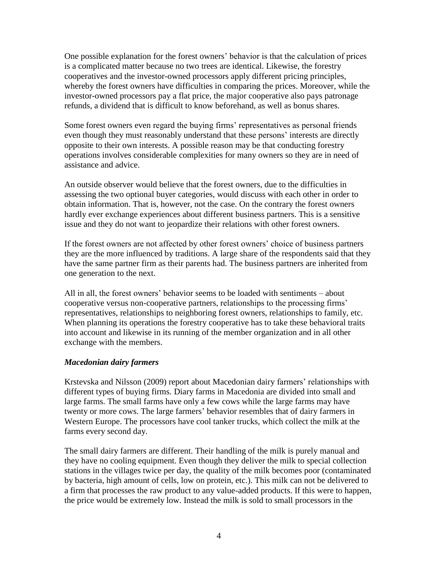One possible explanation for the forest owners' behavior is that the calculation of prices is a complicated matter because no two trees are identical. Likewise, the forestry cooperatives and the investor-owned processors apply different pricing principles, whereby the forest owners have difficulties in comparing the prices. Moreover, while the investor-owned processors pay a flat price, the major cooperative also pays patronage refunds, a dividend that is difficult to know beforehand, as well as bonus shares.

Some forest owners even regard the buying firms' representatives as personal friends even though they must reasonably understand that these persons' interests are directly opposite to their own interests. A possible reason may be that conducting forestry operations involves considerable complexities for many owners so they are in need of assistance and advice.

An outside observer would believe that the forest owners, due to the difficulties in assessing the two optional buyer categories, would discuss with each other in order to obtain information. That is, however, not the case. On the contrary the forest owners hardly ever exchange experiences about different business partners. This is a sensitive issue and they do not want to jeopardize their relations with other forest owners.

If the forest owners are not affected by other forest owners' choice of business partners they are the more influenced by traditions. A large share of the respondents said that they have the same partner firm as their parents had. The business partners are inherited from one generation to the next.

All in all, the forest owners' behavior seems to be loaded with sentiments – about cooperative versus non-cooperative partners, relationships to the processing firms' representatives, relationships to neighboring forest owners, relationships to family, etc. When planning its operations the forestry cooperative has to take these behavioral traits into account and likewise in its running of the member organization and in all other exchange with the members.

#### *Macedonian dairy farmers*

Krstevska and Nilsson (2009) report about Macedonian dairy farmers' relationships with different types of buying firms. Diary farms in Macedonia are divided into small and large farms. The small farms have only a few cows while the large farms may have twenty or more cows. The large farmers' behavior resembles that of dairy farmers in Western Europe. The processors have cool tanker trucks, which collect the milk at the farms every second day.

The small dairy farmers are different. Their handling of the milk is purely manual and they have no cooling equipment. Even though they deliver the milk to special collection stations in the villages twice per day, the quality of the milk becomes poor (contaminated by bacteria, high amount of cells, low on protein, etc.). This milk can not be delivered to a firm that processes the raw product to any value-added products. If this were to happen, the price would be extremely low. Instead the milk is sold to small processors in the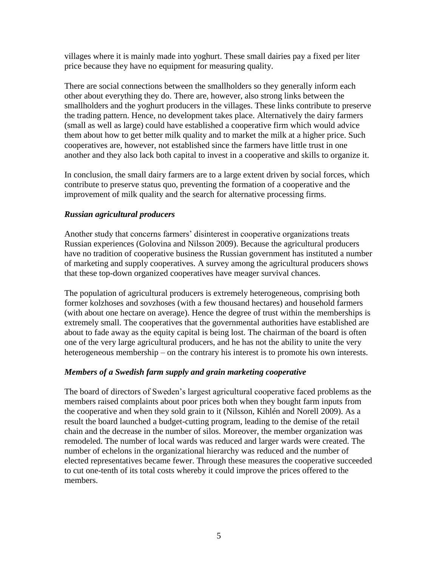villages where it is mainly made into yoghurt. These small dairies pay a fixed per liter price because they have no equipment for measuring quality.

There are social connections between the smallholders so they generally inform each other about everything they do. There are, however, also strong links between the smallholders and the yoghurt producers in the villages. These links contribute to preserve the trading pattern. Hence, no development takes place. Alternatively the dairy farmers (small as well as large) could have established a cooperative firm which would advice them about how to get better milk quality and to market the milk at a higher price. Such cooperatives are, however, not established since the farmers have little trust in one another and they also lack both capital to invest in a cooperative and skills to organize it.

In conclusion, the small dairy farmers are to a large extent driven by social forces, which contribute to preserve status quo, preventing the formation of a cooperative and the improvement of milk quality and the search for alternative processing firms.

#### *Russian agricultural producers*

Another study that concerns farmers' disinterest in cooperative organizations treats Russian experiences (Golovina and Nilsson 2009). Because the agricultural producers have no tradition of cooperative business the Russian government has instituted a number of marketing and supply cooperatives. A survey among the agricultural producers shows that these top-down organized cooperatives have meager survival chances.

The population of agricultural producers is extremely heterogeneous, comprising both former kolzhoses and sovzhoses (with a few thousand hectares) and household farmers (with about one hectare on average). Hence the degree of trust within the memberships is extremely small. The cooperatives that the governmental authorities have established are about to fade away as the equity capital is being lost. The chairman of the board is often one of the very large agricultural producers, and he has not the ability to unite the very heterogeneous membership – on the contrary his interest is to promote his own interests.

#### *Members of a Swedish farm supply and grain marketing cooperative*

The board of directors of Sweden's largest agricultural cooperative faced problems as the members raised complaints about poor prices both when they bought farm inputs from the cooperative and when they sold grain to it (Nilsson, Kihlén and Norell 2009). As a result the board launched a budget-cutting program, leading to the demise of the retail chain and the decrease in the number of silos. Moreover, the member organization was remodeled. The number of local wards was reduced and larger wards were created. The number of echelons in the organizational hierarchy was reduced and the number of elected representatives became fewer. Through these measures the cooperative succeeded to cut one-tenth of its total costs whereby it could improve the prices offered to the members.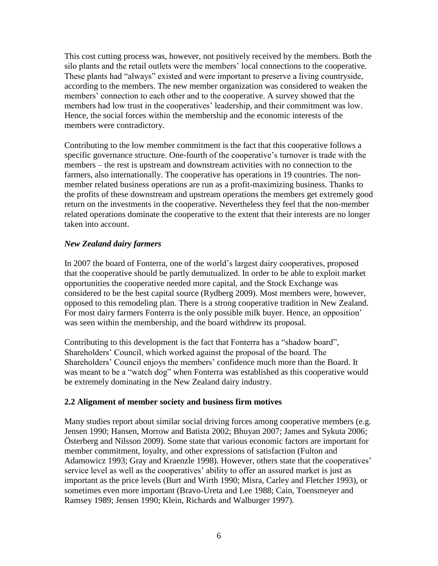This cost cutting process was, however, not positively received by the members. Both the silo plants and the retail outlets were the members' local connections to the cooperative. These plants had "always" existed and were important to preserve a living countryside, according to the members. The new member organization was considered to weaken the members' connection to each other and to the cooperative. A survey showed that the members had low trust in the cooperatives' leadership, and their commitment was low. Hence, the social forces within the membership and the economic interests of the members were contradictory.

Contributing to the low member commitment is the fact that this cooperative follows a specific governance structure. One-fourth of the cooperative's turnover is trade with the members – the rest is upstream and downstream activities with no connection to the farmers, also internationally. The cooperative has operations in 19 countries. The nonmember related business operations are run as a profit-maximizing business. Thanks to the profits of these downstream and upstream operations the members get extremely good return on the investments in the cooperative. Nevertheless they feel that the non-member related operations dominate the cooperative to the extent that their interests are no longer taken into account.

#### *New Zealand dairy farmers*

In 2007 the board of Fonterra, one of the world's largest dairy cooperatives, proposed that the cooperative should be partly demutualized. In order to be able to exploit market opportunities the cooperative needed more capital, and the Stock Exchange was considered to be the best capital source (Rydberg 2009). Most members were, however, opposed to this remodeling plan. There is a strong cooperative tradition in New Zealand. For most dairy farmers Fonterra is the only possible milk buyer. Hence, an opposition' was seen within the membership, and the board withdrew its proposal.

Contributing to this development is the fact that Fonterra has a "shadow board", Shareholders' Council, which worked against the proposal of the board. The Shareholders' Council enjoys the members' confidence much more than the Board. It was meant to be a "watch dog" when Fonterra was established as this cooperative would be extremely dominating in the New Zealand dairy industry.

#### **2.2 Alignment of member society and business firm motives**

Many studies report about similar social driving forces among cooperative members (e.g. Jensen 1990; Hansen, Morrow and Batista 2002; Bhuyan 2007; James and Sykuta 2006; Österberg and Nilsson 2009). Some state that various economic factors are important for member commitment, loyalty, and other expressions of satisfaction (Fulton and Adamowicz 1993; Gray and Kraenzle 1998). However, others state that the cooperatives' service level as well as the cooperatives' ability to offer an assured market is just as important as the price levels (Burt and Wirth 1990; Misra, Carley and Fletcher 1993), or sometimes even more important (Bravo-Ureta and Lee 1988; Cain, Toensmeyer and Ramsey 1989; Jensen 1990; Klein, Richards and Walburger 1997).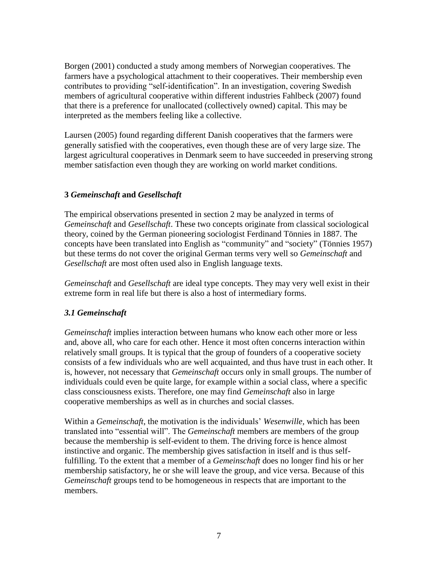Borgen (2001) conducted a study among members of Norwegian cooperatives. The farmers have a psychological attachment to their cooperatives. Their membership even contributes to providing "self-identification". In an investigation, covering Swedish members of agricultural cooperative within different industries Fahlbeck (2007) found that there is a preference for unallocated (collectively owned) capital. This may be interpreted as the members feeling like a collective.

Laursen (2005) found regarding different Danish cooperatives that the farmers were generally satisfied with the cooperatives, even though these are of very large size. The largest agricultural cooperatives in Denmark seem to have succeeded in preserving strong member satisfaction even though they are working on world market conditions.

#### **3** *Gemeinschaft* **and** *Gesellschaft*

The empirical observations presented in section 2 may be analyzed in terms of *Gemeinschaft* and *Gesellschaft*. These two concepts originate from classical sociological theory, coined by the German pioneering sociologist Ferdinand Tönnies in 1887. The concepts have been translated into English as "community" and "society" (Tönnies 1957) but these terms do not cover the original German terms very well so *Gemeinschaft* and *Gesellschaft* are most often used also in English language texts.

*Gemeinschaft* and *Gesellschaft* are ideal type concepts. They may very well exist in their extreme form in real life but there is also a host of intermediary forms.

#### *3.1 Gemeinschaft*

*Gemeinschaft* implies interaction between humans who know each other more or less and, above all, who care for each other. Hence it most often concerns interaction within relatively small groups. It is typical that the group of founders of a cooperative society consists of a few individuals who are well acquainted, and thus have trust in each other. It is, however, not necessary that *Gemeinschaft* occurs only in small groups. The number of individuals could even be quite large, for example within a social class, where a specific class consciousness exists. Therefore, one may find *Gemeinschaft* also in large cooperative memberships as well as in churches and social classes.

Within a *Gemeinschaft*, the motivation is the individuals' *Wesenwille,* which has been translated into "essential will". The *Gemeinschaft* members are members of the group because the membership is self-evident to them. The driving force is hence almost instinctive and organic. The membership gives satisfaction in itself and is thus selffulfilling. To the extent that a member of a *Gemeinschaft* does no longer find his or her membership satisfactory, he or she will leave the group, and vice versa. Because of this *Gemeinschaft* groups tend to be homogeneous in respects that are important to the members.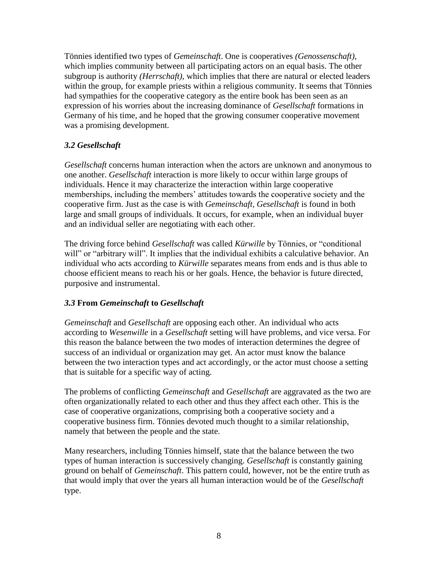Tönnies identified two types of *Gemeinschaft*. One is cooperatives *(Genossenschaft),* which implies community between all participating actors on an equal basis. The other subgroup is authority *(Herrschaft),* which implies that there are natural or elected leaders within the group, for example priests within a religious community. It seems that Tönnies had sympathies for the cooperative category as the entire book has been seen as an expression of his worries about the increasing dominance of *Gesellschaft* formations in Germany of his time, and he hoped that the growing consumer cooperative movement was a promising development.

### *3.2 Gesellschaft*

*Gesellschaft* concerns human interaction when the actors are unknown and anonymous to one another. *Gesellschaft* interaction is more likely to occur within large groups of individuals. Hence it may characterize the interaction within large cooperative memberships, including the members' attitudes towards the cooperative society and the cooperative firm. Just as the case is with *Gemeinschaft, Gesellschaft* is found in both large and small groups of individuals. It occurs, for example, when an individual buyer and an individual seller are negotiating with each other.

The driving force behind *Gesellschaft* was called *Kürwille* by Tönnies, or "conditional will" or "arbitrary will". It implies that the individual exhibits a calculative behavior. An individual who acts according to *Kürwille* separates means from ends and is thus able to choose efficient means to reach his or her goals. Hence, the behavior is future directed, purposive and instrumental.

## *3.3* **From** *Gemeinschaft* **to** *Gesellschaft*

*Gemeinschaft* and *Gesellschaft* are opposing each other. An individual who acts according to *Wesenwille* in a *Gesellschaft* setting will have problems, and vice versa. For this reason the balance between the two modes of interaction determines the degree of success of an individual or organization may get. An actor must know the balance between the two interaction types and act accordingly, or the actor must choose a setting that is suitable for a specific way of acting.

The problems of conflicting *Gemeinschaft* and *Gesellschaft* are aggravated as the two are often organizationally related to each other and thus they affect each other. This is the case of cooperative organizations, comprising both a cooperative society and a cooperative business firm. Tönnies devoted much thought to a similar relationship, namely that between the people and the state.

Many researchers, including Tönnies himself, state that the balance between the two types of human interaction is successively changing. *Gesellschaft* is constantly gaining ground on behalf of *Gemeinschaft*. This pattern could, however, not be the entire truth as that would imply that over the years all human interaction would be of the *Gesellschaft* type.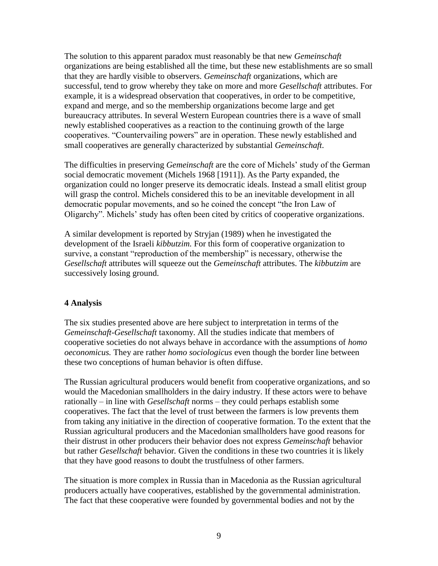The solution to this apparent paradox must reasonably be that new *Gemeinschaft* organizations are being established all the time, but these new establishments are so small that they are hardly visible to observers. *Gemeinschaft* organizations, which are successful, tend to grow whereby they take on more and more *Gesellschaft* attributes. For example, it is a widespread observation that cooperatives, in order to be competitive, expand and merge, and so the membership organizations become large and get bureaucracy attributes. In several Western European countries there is a wave of small newly established cooperatives as a reaction to the continuing growth of the large cooperatives. "Countervailing powers" are in operation. These newly established and small cooperatives are generally characterized by substantial *Gemeinschaft.* 

The difficulties in preserving *Gemeinschaft* are the core of Michels' study of the German social democratic movement (Michels 1968 [1911]). As the Party expanded, the organization could no longer preserve its democratic ideals. Instead a small elitist group will grasp the control. Michels considered this to be an inevitable development in all democratic popular movements, and so he coined the concept "the Iron Law of Oligarchy". Michels' study has often been cited by critics of cooperative organizations.

A similar development is reported by Stryjan (1989) when he investigated the development of the Israeli *kibbutzim.* For this form of cooperative organization to survive, a constant "reproduction of the membership" is necessary, otherwise the *Gesellschaft* attributes will squeeze out the *Gemeinschaft* attributes. The *kibbutzim* are successively losing ground.

#### **4 Analysis**

The six studies presented above are here subject to interpretation in terms of the *Gemeinschaft-Gesellschaft* taxonomy. All the studies indicate that members of cooperative societies do not always behave in accordance with the assumptions of *homo oeconomicus.* They are rather *homo sociologicus* even though the border line between these two conceptions of human behavior is often diffuse.

The Russian agricultural producers would benefit from cooperative organizations, and so would the Macedonian smallholders in the dairy industry. If these actors were to behave rationally – in line with *Gesellschaft* norms – they could perhaps establish some cooperatives. The fact that the level of trust between the farmers is low prevents them from taking any initiative in the direction of cooperative formation. To the extent that the Russian agricultural producers and the Macedonian smallholders have good reasons for their distrust in other producers their behavior does not express *Gemeinschaft* behavior but rather *Gesellschaft* behavior*.* Given the conditions in these two countries it is likely that they have good reasons to doubt the trustfulness of other farmers.

The situation is more complex in Russia than in Macedonia as the Russian agricultural producers actually have cooperatives, established by the governmental administration. The fact that these cooperative were founded by governmental bodies and not by the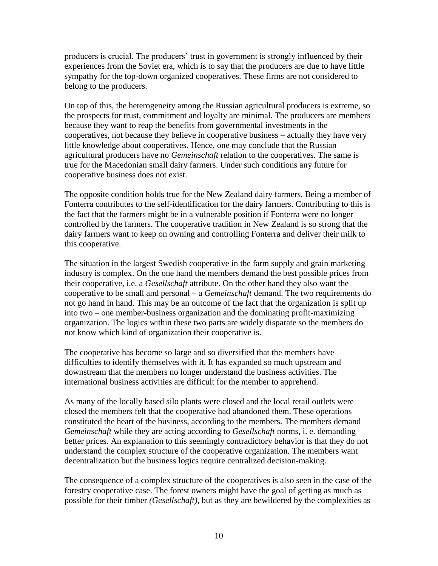producers is crucial. The producers' trust in government is strongly influenced by their experiences from the Soviet era, which is to say that the producers are due to have little sympathy for the top-down organized cooperatives. These firms are not considered to belong to the producers.

On top of this, the heterogeneity among the Russian agricultural producers is extreme, so the prospects for trust, commitment and loyalty are minimal. The producers are members because they want to reap the benefits from governmental investments in the cooperatives, not because they believe in cooperative business – actually they have very little knowledge about cooperatives. Hence, one may conclude that the Russian agricultural producers have no *Gemeinschaft* relation to the cooperatives. The same is true for the Macedonian small dairy farmers. Under such conditions any future for cooperative business does not exist.

The opposite condition holds true for the New Zealand dairy farmers. Being a member of Fonterra contributes to the self-identification for the dairy farmers. Contributing to this is the fact that the farmers might be in a vulnerable position if Fonterra were no longer controlled by the farmers. The cooperative tradition in New Zealand is so strong that the dairy farmers want to keep on owning and controlling Fonterra and deliver their milk to this cooperative.

The situation in the largest Swedish cooperative in the farm supply and grain marketing industry is complex. On the one hand the members demand the best possible prices from their cooperative, i.e. a *Gesellschaft* attribute. On the other hand they also want the cooperative to be small and personal – a *Gemeinschaft* demand. The two requirements do not go hand in hand. This may be an outcome of the fact that the organization is split up into two – one member-business organization and the dominating profit-maximizing organization. The logics within these two parts are widely disparate so the members do not know which kind of organization their cooperative is.

The cooperative has become so large and so diversified that the members have difficulties to identify themselves with it. It has expanded so much upstream and downstream that the members no longer understand the business activities. The international business activities are difficult for the member to apprehend.

As many of the locally based silo plants were closed and the local retail outlets were closed the members felt that the cooperative had abandoned them. These operations constituted the heart of the business, according to the members. The members demand *Gemeinschaft* while they are acting according to *Gesellschaft* norms, i. e. demanding better prices. An explanation to this seemingly contradictory behavior is that they do not understand the complex structure of the cooperative organization. The members want decentralization but the business logics require centralized decision-making.

The consequence of a complex structure of the cooperatives is also seen in the case of the forestry cooperative case. The forest owners might have the goal of getting as much as possible for their timber *(Gesellschaft)*, but as they are bewildered by the complexities as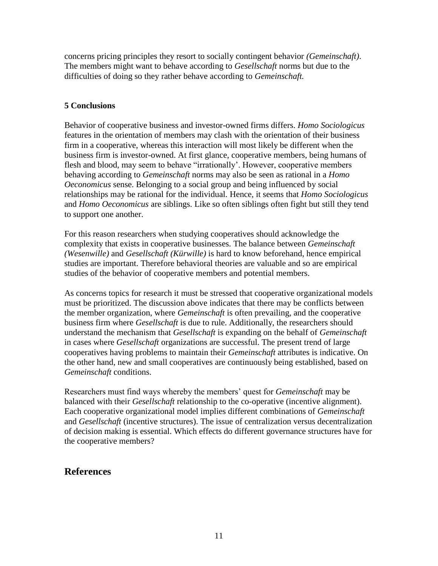concerns pricing principles they resort to socially contingent behavior *(Gemeinschaft)*. The members might want to behave according to *Gesellschaft* norms but due to the difficulties of doing so they rather behave according to *Gemeinschaft.*

### **5 Conclusions**

Behavior of cooperative business and investor-owned firms differs. *Homo Sociologicus* features in the orientation of members may clash with the orientation of their business firm in a cooperative, whereas this interaction will most likely be different when the business firm is investor-owned. At first glance, cooperative members, being humans of flesh and blood, may seem to behave "irrationally'. However, cooperative members behaving according to *Gemeinschaft* norms may also be seen as rational in a *Homo Oeconomicus* sense. Belonging to a social group and being influenced by social relationships may be rational for the individual. Hence, it seems that *Homo Sociologicus* and *Homo Oeconomicus* are siblings. Like so often siblings often fight but still they tend to support one another.

For this reason researchers when studying cooperatives should acknowledge the complexity that exists in cooperative businesses. The balance between *Gemeinschaft (Wesenwille)* and *Gesellschaft (Kürwille)* is hard to know beforehand, hence empirical studies are important. Therefore behavioral theories are valuable and so are empirical studies of the behavior of cooperative members and potential members.

As concerns topics for research it must be stressed that cooperative organizational models must be prioritized. The discussion above indicates that there may be conflicts between the member organization, where *Gemeinschaft* is often prevailing, and the cooperative business firm where *Gesellschaft* is due to rule. Additionally, the researchers should understand the mechanism that *Gesellschaft* is expanding on the behalf of *Gemeinschaft* in cases where *Gesellschaft* organizations are successful. The present trend of large cooperatives having problems to maintain their *Gemeinschaft* attributes is indicative. On the other hand, new and small cooperatives are continuously being established, based on *Gemeinschaft* conditions.

Researchers must find ways whereby the members' quest for *Gemeinschaft* may be balanced with their *Gesellschaft* relationship to the co-operative (incentive alignment). Each cooperative organizational model implies different combinations of *Gemeinschaft* and *Gesellschaft* (incentive structures). The issue of centralization versus decentralization of decision making is essential. Which effects do different governance structures have for the cooperative members?

## **References**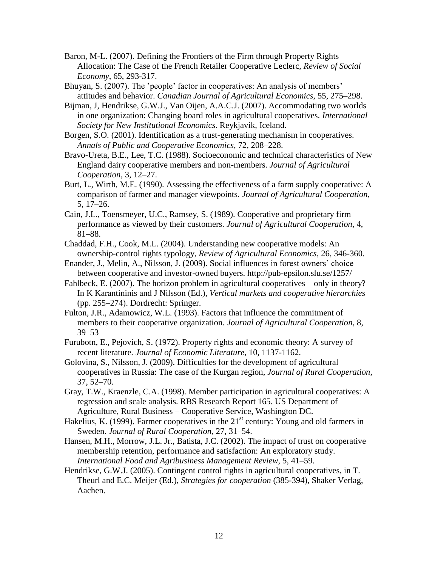- Baron, M-L. (2007). Defining the Frontiers of the Firm through Property Rights Allocation: The Case of the French Retailer Cooperative Leclerc, *Review of Social Economy*, 65, 293-317.
- Bhuyan, S. (2007). The 'people' factor in cooperatives: An analysis of members' attitudes and behavior. *Canadian Journal of Agricultural Economics*, 55, 275–298.
- Bijman, J, Hendrikse, G.W.J., Van Oijen, A.A.C.J. (2007). Accommodating two worlds in one organization: Changing board roles in agricultural cooperatives. *International Society for New Institutional Economics*. Reykjavik, Iceland.
- Borgen, S.O. (2001). Identification as a trust-generating mechanism in cooperatives. *Annals of Public and Cooperative Economics*, 72, 208–228.
- Bravo-Ureta, B.E., Lee, T.C. (1988). Socioeconomic and technical characteristics of New England dairy cooperative members and non-members. *Journal of Agricultural Cooperation*, 3, 12–27.
- Burt, L., Wirth, M.E. (1990). Assessing the effectiveness of a farm supply cooperative: A comparison of farmer and manager viewpoints. *Journal of Agricultural Cooperation*, 5, 17–26.
- Cain, J.L., Toensmeyer, U.C., Ramsey, S. (1989). Cooperative and proprietary firm performance as viewed by their customers. *Journal of Agricultural Cooperation*, 4, 81–88.
- Chaddad, F.H., Cook, M.L. (2004). Understanding new cooperative models: An ownership-control rights typology, *Review of Agricultural Economics*, 26, 346-360.
- Enander, J., Melin, A., Nilsson, J. (2009). Social influences in forest owners' choice between cooperative and investor-owned buyers. http://pub-epsilon.slu.se/1257/
- Fahlbeck, E. (2007). The horizon problem in agricultural cooperatives only in theory? In K Karantininis and J Nilsson (Ed.), *Vertical markets and cooperative hierarchies* (pp. 255–274). Dordrecht: Springer.
- Fulton, J.R., Adamowicz, W.L. (1993). Factors that influence the commitment of members to their cooperative organization. *Journal of Agricultural Cooperation*, 8, 39–53
- Furubotn, E., Pejovich, S. (1972). Property rights and economic theory: A survey of recent literature. *Journal of Economic Literature*, 10, 1137-1162.
- Golovina, S., Nilsson, J. (2009). Difficulties for the development of agricultural cooperatives in Russia: The case of the Kurgan region, *Journal of Rural Cooperation*, 37, 52–70.
- Gray, T.W., Kraenzle, C.A. (1998). Member participation in agricultural cooperatives: A regression and scale analysis. RBS Research Report 165. US Department of Agriculture, Rural Business – Cooperative Service, Washington DC.
- Hakelius, K. (1999). Farmer cooperatives in the  $21<sup>st</sup>$  century: Young and old farmers in Sweden. *Journal of Rural Cooperation*, 27, 31–54.
- Hansen, M.H., Morrow, J.L. Jr., Batista, J.C. (2002). The impact of trust on cooperative membership retention, performance and satisfaction: An exploratory study. *International Food and Agribusiness Management Review*, 5, 41–59.
- Hendrikse, G.W.J. (2005). Contingent control rights in agricultural cooperatives, in T. Theurl and E.C. Meijer (Ed.), *Strategies for cooperation* (385-394), Shaker Verlag, Aachen.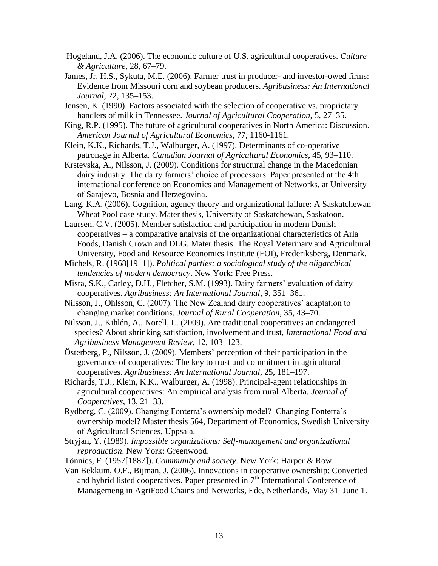- Hogeland, J.A. (2006). The economic culture of U.S. agricultural cooperatives. *Culture & Agriculture*, 28, 67–79.
- James, Jr. H.S., Sykuta, M.E. (2006). Farmer trust in producer- and investor-owed firms: Evidence from Missouri corn and soybean producers. *Agribusiness: An International Journal*, 22, 135–153.
- Jensen, K. (1990). Factors associated with the selection of cooperative vs. proprietary handlers of milk in Tennessee. *Journal of Agricultural Cooperation*, 5, 27–35.
- King, R.P. (1995). The future of agricultural cooperatives in North America: Discussion. *American Journal of Agricultural Economics*, 77, 1160-1161.
- Klein, K.K., Richards, T.J., Walburger, A. (1997). Determinants of co-operative patronage in Alberta. *Canadian Journal of Agricultural Economics*, 45, 93–110.
- Krstevska, A., Nilsson, J. (2009). Conditions for structural change in the Macedonian dairy industry. The dairy farmers' choice of processors. Paper presented at the 4th international conference on Economics and Management of Networks, at University of Sarajevo, Bosnia and Herzegovina.
- Lang, K.A. (2006). Cognition, agency theory and organizational failure: A Saskatchewan Wheat Pool case study. Mater thesis, University of Saskatchewan, Saskatoon.
- Laursen, C.V. (2005). Member satisfaction and participation in modern Danish cooperatives – a comparative analysis of the organizational characteristics of Arla Foods, Danish Crown and DLG. Mater thesis. The Royal Veterinary and Agricultural University, Food and Resource Economics Institute (FOI), Frederiksberg, Denmark.
- Michels, R. (1968[1911]). *Political parties: a sociological study of the oligarchical tendencies of modern democracy*. New York: Free Press.
- Misra, S.K., Carley, D.H., Fletcher, S.M. (1993). Dairy farmers' evaluation of dairy cooperatives. *Agribusiness: An International Journal*, 9, 351–361.
- Nilsson, J., Ohlsson, C. (2007). The New Zealand dairy cooperatives' adaptation to changing market conditions. *Journal of Rural Cooperation*, 35, 43–70.
- Nilsson, J., Kihlén, A., Norell, L. (2009). Are traditional cooperatives an endangered species? About shrinking satisfaction, involvement and trust, *International Food and Agribusiness Management Review*, 12, 103–123.
- Österberg, P., Nilsson, J. (2009). Members' perception of their participation in the governance of cooperatives: The key to trust and commitment in agricultural cooperatives. *Agribusiness: An International Journal*, 25, 181–197.
- Richards, T.J., Klein, K.K., Walburger, A. (1998). Principal-agent relationships in agricultural cooperatives: An empirical analysis from rural Alberta. *Journal of Cooperatives*, 13, 21–33.
- Rydberg, C. (2009). Changing Fonterra's ownership model? Changing Fonterra's ownership model? Master thesis 564, Department of Economics, Swedish University of Agricultural Sciences, Uppsala.
- Stryjan, Y. (1989). *Impossible organizations: Self-management and organizational reproduction*. New York: Greenwood.
- Tönnies, F. (1957[1887]). *Community and society*. New York: Harper & Row.
- Van Bekkum, O.F., Bijman, J. (2006). Innovations in cooperative ownership: Converted and hybrid listed cooperatives. Paper presented in  $7<sup>th</sup>$  International Conference of Managemeng in AgriFood Chains and Networks, Ede, Netherlands, May 31–June 1.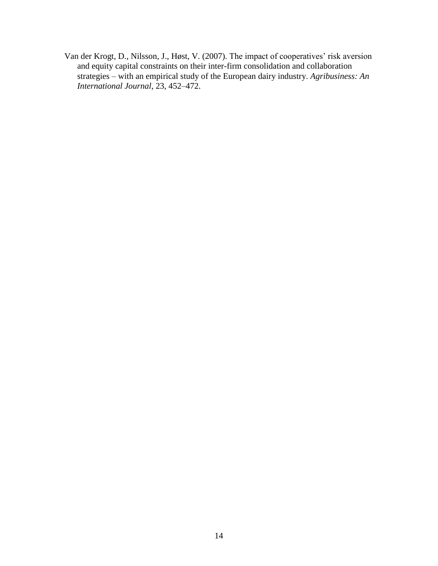Van der Krogt, D., Nilsson, J., Høst, V. (2007). The impact of cooperatives' risk aversion and equity capital constraints on their inter-firm consolidation and collaboration strategies – with an empirical study of the European dairy industry. *Agribusiness: An International Journal*, 23, 452–472.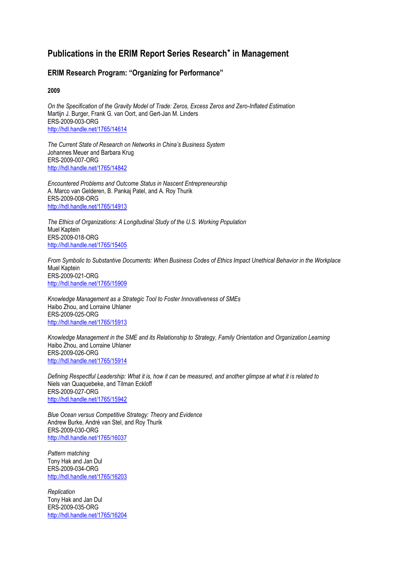# **Publications in the ERIM Report Series Research in Management**

#### **ERIM Research Program: "Organizing for Performance"**

**2009**

*On the Specification of the Gravity Model of Trade: Zeros, Excess Zeros and Zero-Inflated Estimation* Martijn J. Burger, Frank G. van Oort, and Gert-Jan M. Linders ERS-2009-003-ORG <http://hdl.handle.net/1765/14614>

*The Current State of Research on Networks in China's Business System* Johannes Meuer and Barbara Krug ERS-2009-007-ORG <http://hdl.handle.net/1765/14842>

*Encountered Problems and Outcome Status in Nascent Entrepreneurship* A. Marco van Gelderen, B. Pankaj Patel, and A. Roy Thurik ERS-2009-008-ORG <http://hdl.handle.net/1765/14913>

*The Ethics of Organizations: A Longitudinal Study of the U.S. Working Population* Muel Kaptein ERS-2009-018-ORG <http://hdl.handle.net/1765/15405>

*From Symbolic to Substantive Documents: When Business Codes of Ethics Impact Unethical Behavior in the Workplace* Muel Kaptein ERS-2009-021-ORG <http://hdl.handle.net/1765/15909>

*Knowledge Management as a Strategic Tool to Foster Innovativeness of SMEs* Haibo Zhou, and Lorraine Uhlaner ERS-2009-025-ORG <http://hdl.handle.net/1765/15913>

*Knowledge Management in the SME and its Relationship to Strategy, Family Orientation and Organization Learning* Haibo Zhou, and Lorraine Uhlaner ERS-2009-026-ORG <http://hdl.handle.net/1765/15914>

*Defining Respectful Leadership: What it is, how it can be measured, and another glimpse at what it is related to* Niels van Quaquebeke, and Tilman Eckloff ERS-2009-027-ORG <http://hdl.handle.net/1765/15942>

*Blue Ocean versus Competitive Strategy: Theory and Evidence* Andrew Burke, André van Stel, and Roy Thurik ERS-2009-030-ORG <http://hdl.handle.net/1765/16037>

*Pattern matching* Tony Hak and Jan Dul ERS-2009-034-ORG <http://hdl.handle.net/1765/16203>

*Replication* Tony Hak and Jan Dul ERS-2009-035-ORG <http://hdl.handle.net/1765/16204>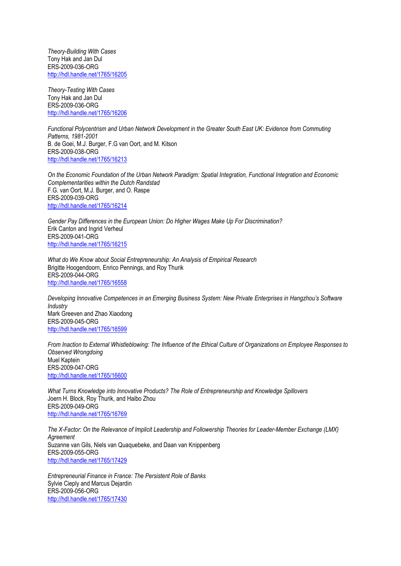*Theory-Building With Cases* Tony Hak and Jan Dul ERS-2009-036-ORG <http://hdl.handle.net/1765/16205>

*Theory-Testing With Cases* Tony Hak and Jan Dul ERS-2009-036-ORG <http://hdl.handle.net/1765/16206>

*Functional Polycentrism and Urban Network Development in the Greater South East UK: Evidence from Commuting Patterns, 1981-2001* B. de Goei, M.J. Burger, F.G van Oort, and M. Kitson ERS-2009-038-ORG <http://hdl.handle.net/1765/16213>

*On the Economic Foundation of the Urban Network Paradigm: Spatial Integration, Functional Integration and Economic Complementarities within the Dutch Randstad* F.G. van Oort, M.J. Burger, and O. Raspe ERS-2009-039-ORG <http://hdl.handle.net/1765/16214>

*Gender Pay Differences in the European Union: Do Higher Wages Make Up For Discrimination?* Erik Canton and Ingrid Verheul ERS-2009-041-ORG <http://hdl.handle.net/1765/16215>

*What do We Know about Social Entrepreneurship: An Analysis of Empirical Research* Brigitte Hoogendoorn, Enrico Pennings, and Roy Thurik ERS-2009-044-ORG <http://hdl.handle.net/1765/16558>

*Developing Innovative Competences in an Emerging Business System: New Private Enterprises in Hangzhou's Software Industry* Mark Greeven and Zhao Xiaodong ERS-2009-045-ORG <http://hdl.handle.net/1765/16599>

*From Inaction to External Whistleblowing: The Influence of the Ethical Culture of Organizations on Employee Responses to Observed Wrongdoing* Muel Kaptein ERS-2009-047-ORG <http://hdl.handle.net/1765/16600>

*What Turns Knowledge into Innovative Products? The Role of Entrepreneurship and Knowledge Spillovers* Joern H. Block, Roy Thurik, and Haibo Zhou ERS-2009-049-ORG <http://hdl.handle.net/1765/16769>

*The X-Factor: On the Relevance of Implicit Leadership and Followership Theories for Leader-Member Exchange (LMX) Agreement* Suzanne van Gils, Niels van Quaquebeke, and Daan van Knippenberg ERS-2009-055-ORG <http://hdl.handle.net/1765/17429>

*Entrepreneurial Finance in France: The Persistent Role of Banks* Sylvie Cieply and Marcus Dejardin ERS-2009-056-ORG <http://hdl.handle.net/1765/17430>